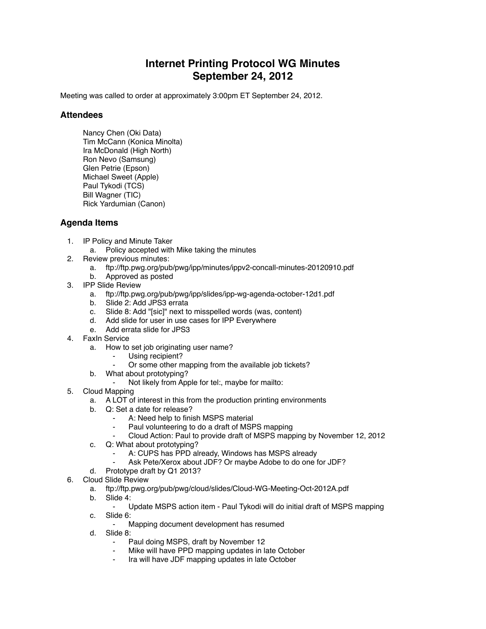## **Internet Printing Protocol WG Minutes September 24, 2012**

Meeting was called to order at approximately 3:00pm ET September 24, 2012.

## **Attendees**

Nancy Chen (Oki Data) Tim McCann (Konica Minolta) Ira McDonald (High North) Ron Nevo (Samsung) Glen Petrie (Epson) Michael Sweet (Apple) Paul Tykodi (TCS) Bill Wagner (TIC) Rick Yardumian (Canon)

## **Agenda Items**

- 1. IP Policy and Minute Taker
	- a. Policy accepted with Mike taking the minutes
- 2. Review previous minutes:
	- a. ftp://ftp.pwg.org/pub/pwg/ipp/minutes/ippv2-concall-minutes-20120910.pdf
	- b. Approved as posted
- 3. IPP Slide Review
	- a. ftp://ftp.pwg.org/pub/pwg/ipp/slides/ipp-wg-agenda-october-12d1.pdf
	- b. Slide 2: Add JPS3 errata
	- c. Slide 8: Add "[sic]" next to misspelled words (was, content)
	- d. Add slide for user in use cases for IPP Everywhere
	- e. Add errata slide for JPS3
- 4. FaxIn Service
	- a. How to set job originating user name?
		- Using recipient?
		- Or some other mapping from the available job tickets?
	- b. What about prototyping?
		- ⁃ Not likely from Apple for tel:, maybe for mailto:
- 5. Cloud Mapping
	- a. A LOT of interest in this from the production printing environments
	- b. Q: Set a date for release?
		- A: Need help to finish MSPS material
			- Paul volunteering to do a draft of MSPS mapping
			- ⁃ Cloud Action: Paul to provide draft of MSPS mapping by November 12, 2012
	- c. Q: What about prototyping?
		- A: CUPS has PPD already, Windows has MSPS already
		- Ask Pete/Xerox about JDF? Or maybe Adobe to do one for JDF?
	- d. Prototype draft by Q1 2013?
- 6. Cloud Slide Review
	- a. ftp://ftp.pwg.org/pub/pwg/cloud/slides/Cloud-WG-Meeting-Oct-2012A.pdf
	- b. Slide 4:
		- ⁃ Update MSPS action item Paul Tykodi will do initial draft of MSPS mapping
	- c. Slide 6:
		- Mapping document development has resumed
	- d. Slide 8:
		- Paul doing MSPS, draft by November 12
		- Mike will have PPD mapping updates in late October
		- ⁃ Ira will have JDF mapping updates in late October